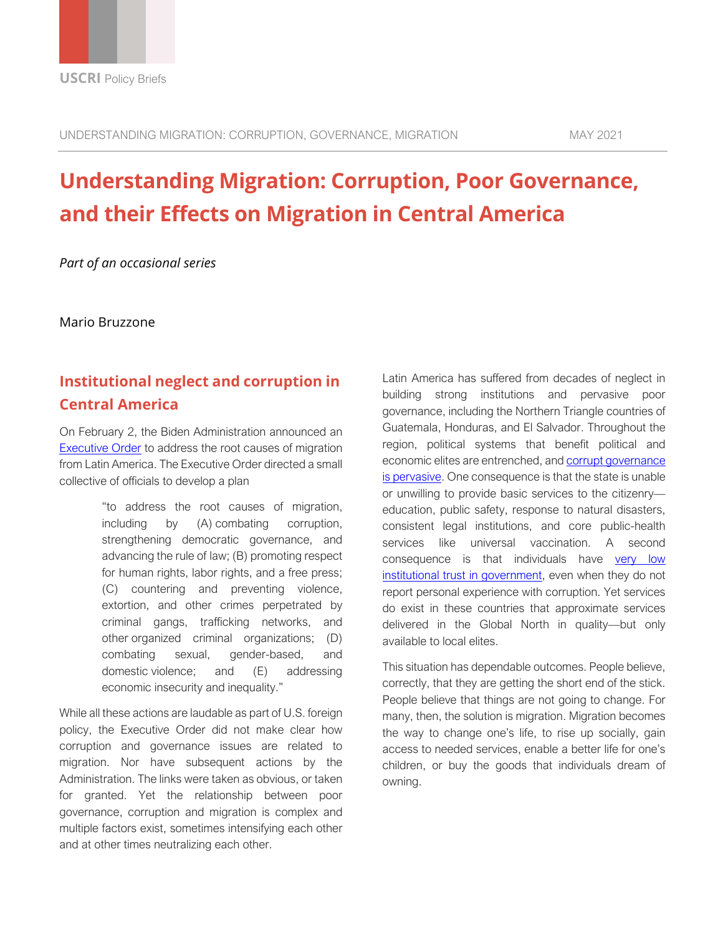# **Understanding Migration: Corruption, Poor Governance, and their Effects on Migration in Central America**

*Part of an occasional series*

Mario Bruzzone

## **Institutional neglect and corruption in Central America**

On February 2, the Biden Administration announced an [Executive Order](https://www.whitehouse.gov/briefing-room/presidential-actions/2021/02/02/executive-order-creating-a-comprehensive-regional-framework-to-address-the-causes-of-migration-to-manage-migration-throughout-north-and-central-america-and-to-provide-safe-and-orderly-processing/) to address the root causes of migration from Latin America. The Executive Order directed a small collective of officials to develop a plan

> "to address the root causes of migration, including by (A) combating corruption, strengthening democratic governance, and advancing the rule of law; (B) promoting respect for human rights, labor rights, and a free press; (C) countering and preventing violence, extortion, and other crimes perpetrated by criminal gangs, trafficking networks, and other organized criminal organizations; (D) combating sexual, gender-based, and domestic violence; and (E) addressing economic insecurity and inequality."

While all these actions are laudable as part of U.S. foreign policy, the Executive Order did not make clear how corruption and governance issues are related to migration. Nor have subsequent actions by the Administration. The links were taken as obvious, or taken for granted. Yet the relationship between poor governance, corruption and migration is complex and multiple factors exist, sometimes intensifying each other and at other times neutralizing each other.

Latin America has suffered from decades of neglect in building strong institutions and pervasive poor governance, including the Northern Triangle countries of Guatemala, Honduras, and El Salvador. Throughout the region, political systems that benefit political and economic elites are entrenched, and [corrupt governance](https://carnegieendowment.org/2017/05/30/when-corruption-is-operating-system-case-of-honduras-pub-69999)  [is pervasive.](https://carnegieendowment.org/2017/05/30/when-corruption-is-operating-system-case-of-honduras-pub-69999) One consequence is that the state is unable or unwilling to provide basic services to the citizenry education, public safety, response to natural disasters, consistent legal institutions, and core public-health services like universal vaccination. A second consequence is that individuals have [very low](https://digitalcommons.montclair.edu/cgi/viewcontent.cgi?article=1010&context=polysci-law-facpubs)  [institutional trust in government,](https://digitalcommons.montclair.edu/cgi/viewcontent.cgi?article=1010&context=polysci-law-facpubs) even when they do not report personal experience with corruption. Yet services do exist in these countries that approximate services delivered in the Global North in quality—but only available to local elites.

This situation has dependable outcomes. People believe, correctly, that they are getting the short end of the stick. People believe that things are not going to change. For many, then, the solution is migration. Migration becomes the way to change one's life, to rise up socially, gain access to needed services, enable a better life for one's children, or buy the goods that individuals dream of owning.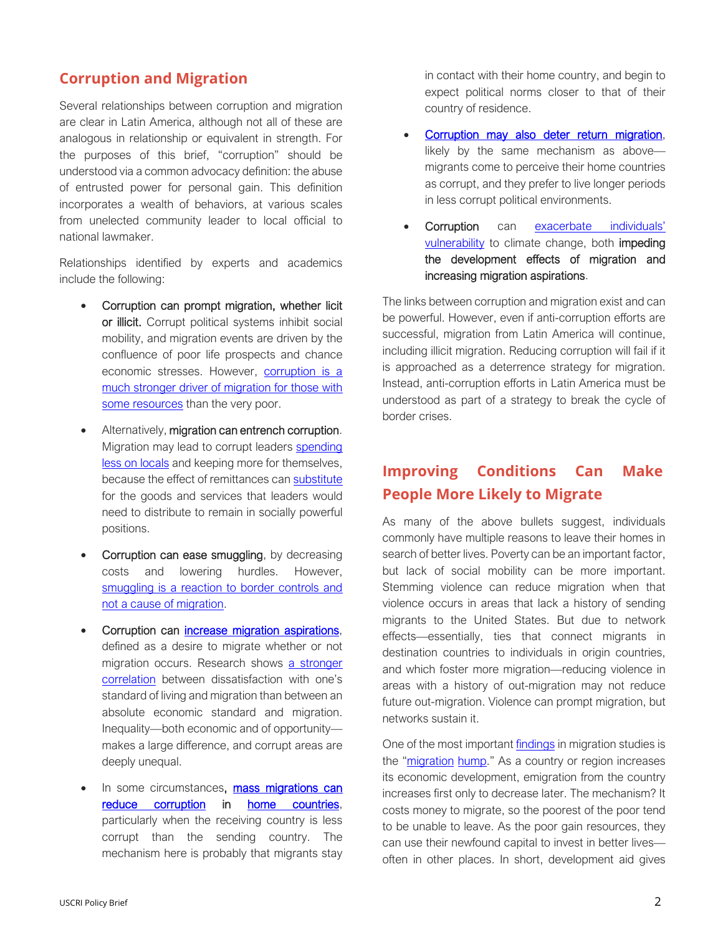#### **Corruption and Migration**

Several relationships between corruption and migration are clear in Latin America, although not all of these are analogous in relationship or equivalent in strength. For the purposes of this brief, "corruption" should be understood via a common advocacy definition: the abuse of entrusted power for personal gain. This definition incorporates a wealth of behaviors, at various scales from unelected community leader to local official to national lawmaker.

Relationships identified by experts and academics include the following:

- Corruption can prompt migration, whether licit or illicit. Corrupt political systems inhibit social mobility, and migration events are driven by the confluence of poor life prospects and chance economic stresses. However, [corruption is a](http://groups.uni-paderborn.de/fiwi/RePEc/Working%20Paper%20neutral/WP67%20-%202013-10.pdf)  [much stronger driver of migration for those with](http://groups.uni-paderborn.de/fiwi/RePEc/Working%20Paper%20neutral/WP67%20-%202013-10.pdf)  [some resources](http://groups.uni-paderborn.de/fiwi/RePEc/Working%20Paper%20neutral/WP67%20-%202013-10.pdf) than the very poor.
- Alternatively, migration can entrench corruption. Migration may lead to corrupt leaders [spending](https://papers.ssrn.com/sol3/papers.cfm?abstract_id=2110610)  [less on](https://papers.ssrn.com/sol3/papers.cfm?abstract_id=2110610) locals and keeping more for themselves, because the effect of remittances ca[n substitute](https://link.springer.com/article/10.1007%2Fs12116-014-9153-3) for the goods and services that leaders would need to distribute to remain in socially powerful positions.
- Corruption can ease smuggling, by decreasing costs and lowering hurdles. However, [smuggling is a reaction to border controls and](https://www.oxfordmartin.ox.ac.uk/blog/smuggling-is-a-reaction-to-border-controls-not-the-cause-of-migration/)  [not a cause of migration.](https://www.oxfordmartin.ox.ac.uk/blog/smuggling-is-a-reaction-to-border-controls-not-the-cause-of-migration/)
- Corruption can [increase migration aspirations,](https://economics-sociology.eu/files/12_52_Lapshyna.pdf) defined as a desire to migrate whether or not migration occurs. Research shows a stronger [correlation](https://onlinelibrary.wiley.com/doi/pdfdirect/10.1111/imig.12617) between dissatisfaction with one's standard of living and migration than between an absolute economic standard and migration. Inequality—both economic and of opportunity makes a large difference, and corrupt areas are deeply unequal.
- In some circumstances, mass migrations can [reduce corruption](https://link.springer.com/content/pdf/10.1007/s11127-017-0442-z.pdf) in [home countries,](https://d1wqtxts1xzle7.cloudfront.net/38361064/Tyburski2012_ISQ.pdf?1438540383=&response-content-disposition=inline%3B+filename%3DResource_Curse_Reversed_Remittances_and.pdf&Expires=1621959973&Signature=YhFENnkos6E-W3lfJqVTiKeV-0ISCdcwl0SjnclWChLz270dn21Uj0KXua0Wgci7sS2p4wzUm%7EqwZH7rXhh-GoOEO1UNT9NNYNThDuOr79Xt48Wde7wrQPoeZ2Subz-agkzQbNPYqiu05q2-YzRhtbfdGcOctwrAZs8n%7E1%7EcrdvJRv7L9TDHJk9yLb2fYgcHQ2xEhIX8ekbAQQ%7EgRLpI51RiP2opnoiwH2A9dJACiAGo2cFPaBdA%7EEN%7EZt1KXPEXUJKvsUCxIWCYkYmfkl-9WVkiwRvcGz3MiuoV755huNIXl63VczG%7EwompF8yCfNYVXpaqvLCMY3tptyN2bDw2gQ__&Key-Pair-Id=APKAJLOHF5GGSLRBV4ZA) particularly when the receiving country is less corrupt than the sending country. The mechanism here is probably that migrants stay

in contact with their home country, and begin to expect political norms closer to that of their country of residence.

- [Corruption may also deter return migration,](https://www.imiscoe.org/journal-cms-2/comparative-migration-studies-2014-3/309-6-qthis-is-my-homeq-pakistani-and-polish-migrants-return-considerations-as-articulations-about-qhomeq-pp-361-38424/file) likely by the same mechanism as above migrants come to perceive their home countries as corrupt, and they prefer to live longer periods in less corrupt political environments.
- Corruption can exacerbate individuals' [vulnerability](https://link.springer.com/article/10.1007%2Fs11069-009-9419-7) to climate change, both impeding the development effects of migration and increasing migration aspirations.

The links between corruption and migration exist and can be powerful. However, even if anti-corruption efforts are successful, migration from Latin America will continue, including illicit migration. Reducing corruption will fail if it is approached as a deterrence strategy for migration. Instead, anti-corruption efforts in Latin America must be understood as part of a strategy to break the cycle of border crises.

### **Improving Conditions Can Make People More Likely to Migrate**

As many of the above bullets suggest, individuals commonly have multiple reasons to leave their homes in search of better lives. Poverty can be an important factor, but lack of social mobility can be more important. Stemming violence can reduce migration when that violence occurs in areas that lack a history of sending migrants to the United States. But due to network effects—essentially, ties that connect migrants in destination countries to individuals in origin countries, and which foster more migration—reducing violence in areas with a history of out-migration may not reduce future out-migration. Violence can prompt migration, but networks sustain it.

One of the most important [findings](https://onlinelibrary.wiley.com/doi/abs/10.1111/j.1467-7660.2007.00435.x) in migration studies is the ["migration](https://papers.ssrn.com/sol3/papers.cfm?abstract_id=3679020) [hump.](https://www.elgaronline.com/view/edcoll/9781782548065/9781782548065.00010.xml)" As a country or region increases its economic development, emigration from the country increases first only to decrease later. The mechanism? It costs money to migrate, so the poorest of the poor tend to be unable to leave. As the poor gain resources, they can use their newfound capital to invest in better lives often in other places. In short, development aid gives